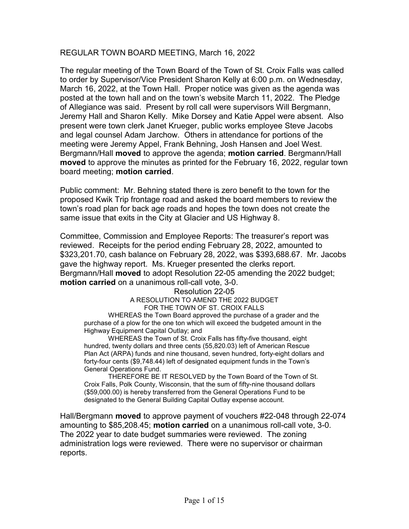# REGULAR TOWN BOARD MEETING, March 16, 2022

The regular meeting of the Town Board of the Town of St. Croix Falls was called to order by Supervisor/Vice President Sharon Kelly at 6:00 p.m. on Wednesday, March 16, 2022, at the Town Hall. Proper notice was given as the agenda was posted at the town hall and on the town's website March 11, 2022. The Pledge of Allegiance was said. Present by roll call were supervisors Will Bergmann, Jeremy Hall and Sharon Kelly. Mike Dorsey and Katie Appel were absent. Also present were town clerk Janet Krueger, public works employee Steve Jacobs and legal counsel Adam Jarchow. Others in attendance for portions of the meeting were Jeremy Appel, Frank Behning, Josh Hansen and Joel West. Bergmann/Hall moved to approve the agenda; motion carried. Bergmann/Hall moved to approve the minutes as printed for the February 16, 2022, regular town board meeting; motion carried.

Public comment: Mr. Behning stated there is zero benefit to the town for the proposed Kwik Trip frontage road and asked the board members to review the town's road plan for back age roads and hopes the town does not create the same issue that exits in the City at Glacier and US Highway 8.

Committee, Commission and Employee Reports: The treasurer's report was reviewed. Receipts for the period ending February 28, 2022, amounted to \$323,201.70, cash balance on February 28, 2022, was \$393,688.67. Mr. Jacobs gave the highway report. Ms. Krueger presented the clerks report. Bergmann/Hall moved to adopt Resolution 22-05 amending the 2022 budget; motion carried on a unanimous roll-call vote, 3-0.

> Resolution 22-05 A RESOLUTION TO AMEND THE 2022 BUDGET FOR THE TOWN OF ST. CROIX FALLS

WHEREAS the Town Board approved the purchase of a grader and the purchase of a plow for the one ton which will exceed the budgeted amount in the Highway Equipment Capital Outlay; and

WHEREAS the Town of St. Croix Falls has fifty-five thousand, eight hundred, twenty dollars and three cents (55,820.03) left of American Rescue Plan Act (ARPA) funds and nine thousand, seven hundred, forty-eight dollars and forty-four cents (\$9,748.44) left of designated equipment funds in the Town's General Operations Fund.

THEREFORE BE IT RESOLVED by the Town Board of the Town of St. Croix Falls, Polk County, Wisconsin, that the sum of fifty-nine thousand dollars (\$59,000.00) is hereby transferred from the General Operations Fund to be designated to the General Building Capital Outlay expense account.

Hall/Bergmann moved to approve payment of vouchers #22-048 through 22-074 amounting to \$85,208.45; motion carried on a unanimous roll-call vote, 3-0. The 2022 year to date budget summaries were reviewed. The zoning administration logs were reviewed. There were no supervisor or chairman reports.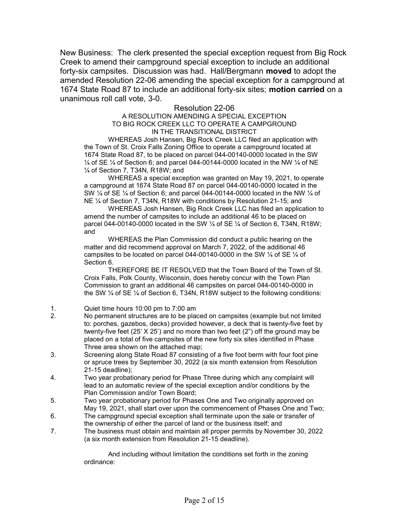New Business: The clerk presented the special exception request from Big Rock Creek to amend their campground special exception to include an additional forty-six campsites. Discussion was had. Hall/Bergmann **moved** to adopt the amended Resolution 22-06 amending the special exception for a campground at 1674 State Road 87 to include an additional forty-six sites; motion carried on a unanimous roll call vote, 3-0.

## Resolution 22-06

#### A RESOLUTION AMENDING A SPECIAL EXCEPTION TO BIG ROCK CREEK LLC TO OPERATE A CAMPGROUND IN THE TRANSITIONAL DISTRICT

WHEREAS Josh Hansen, Big Rock Creek LLC filed an application with the Town of St. Croix Falls Zoning Office to operate a campground located at 1674 State Road 87, to be placed on parcel 044-00140-0000 located in the SW  $\frac{1}{4}$  of SE  $\frac{1}{4}$  of Section 6; and parcel 044-00144-0000 located in the NW  $\frac{1}{4}$  of NE ¼ of Section 7, T34N, R18W; and

WHEREAS a special exception was granted on May 19, 2021, to operate a campground at 1674 State Road 87 on parcel 044-00140-0000 located in the SW  $\frac{1}{4}$  of SE  $\frac{1}{4}$  of Section 6; and parcel 044-00144-0000 located in the NW  $\frac{1}{4}$  of NE ¼ of Section 7, T34N, R18W with conditions by Resolution 21-15; and

WHEREAS Josh Hansen, Big Rock Creek LLC has filed an application to amend the number of campsites to include an additional 46 to be placed on parcel 044-00140-0000 located in the SW  $\frac{1}{4}$  of SE  $\frac{1}{4}$  of Section 6, T34N, R18W; and

WHEREAS the Plan Commission did conduct a public hearing on the matter and did recommend approval on March 7, 2022, of the additional 46 campsites to be located on parcel 044-00140-0000 in the SW  $\frac{1}{4}$  of SE  $\frac{1}{4}$  of Section 6.

THEREFORE BE IT RESOLVED that the Town Board of the Town of St. Croix Falls, Polk County, Wisconsin, does hereby concur with the Town Plan Commission to grant an additional 46 campsites on parcel 044-00140-0000 in the SW ¼ of SE ¼ of Section 6, T34N, R18W subject to the following conditions:

- 1. Quiet time hours 10:00 pm to 7:00 am
- 2. No permanent structures are to be placed on campsites (example but not limited to: porches, gazebos, decks) provided however, a deck that is twenty-five feet by twenty-five feet (25' X 25') and no more than two feet (2") off the ground may be placed on a total of five campsites of the new forty six sites identified in Phase Three area shown on the attached map;
- 3. Screening along State Road 87 consisting of a five foot berm with four foot pine or spruce trees by September 30, 2022 (a six month extension from Resolution 21-15 deadline);
- 4. Two year probationary period for Phase Three during which any complaint will lead to an automatic review of the special exception and/or conditions by the Plan Commission and/or Town Board;
- 5. Two year probationary period for Phases One and Two originally approved on May 19, 2021, shall start over upon the commencement of Phases One and Two;
- 6. The campground special exception shall terminate upon the sale or transfer of the ownership of either the parcel of land or the business itself; and
- 7. The business must obtain and maintain all proper permits by November 30, 2022 (a six month extension from Resolution 21-15 deadline).

And including without limitation the conditions set forth in the zoning ordinance: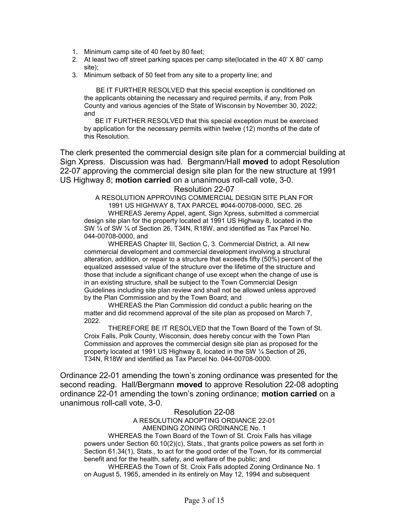- 1. Minimum camp site of 40 feet by 80 feet;
- 2. At least two off street parking spaces per camp site(located in the 40' X 80' camp site);
- 3. Minimum setback of 50 feet from any site to a property line; and

BE IT FURTHER RESOLVED that this special exception is conditioned on the applicants obtaining the necessary and required permits, if any, from Polk County and various agencies of the State of Wisconsin by November 30, 2022; and

 BE IT FURTHER RESOLVED that this special exception must be exercised by application for the necessary permits within twelve (12) months of the date of this Resolution.

The clerk presented the commercial design site plan for a commercial building at Sign Xpress. Discussion was had. Bergmann/Hall moved to adopt Resolution 22-07 approving the commercial design site plan for the new structure at 1991 US Highway 8; motion carried on a unanimous roll-call vote, 3-0.

Resolution 22-07

A RESOLUTION APPROVING COMMERCIAL DESIGN SITE PLAN FOR 1991 US HIGHWAY 8, TAX PARCEL #044-00708-0000, SEC. 26 WHEREAS Jeremy Appel, agent, Sign Xpress, submitted a commercial design site plan for the property located at 1991 US Highway 8, located in the SW ¼ of SW ¼ of Section 26, T34N, R18W, and identified as Tax Parcel No. 044-00708-0000, and

WHEREAS Chapter III, Section C, 3. Commercial District, a. All new commercial development and commercial development involving a structural alteration, addition, or repair to a structure that exceeds fifty (50%) percent of the equalized assessed value of the structure over the lifetime of the structure and those that include a significant change of use except when the change of use is in an existing structure, shall be subject to the Town Commercial Design Guidelines including site plan review and shall not be allowed unless approved by the Plan Commission and by the Town Board; and

WHEREAS the Plan Commission did conduct a public hearing on the matter and did recommend approval of the site plan as proposed on March 7, 2022.

THEREFORE BE IT RESOLVED that the Town Board of the Town of St. Croix Falls, Polk County, Wisconsin, does hereby concur with the Town Plan Commission and approves the commercial design site plan as proposed for the property located at 1991 US Highway 8, located in the SW ¼ Section of 26, T34N, R18W and identified as Tax Parcel No. 044-00708-0000.

Ordinance 22-01 amending the town's zoning ordinance was presented for the second reading. Hall/Bergmann **moved** to approve Resolution 22-08 adopting ordinance 22-01 amending the town's zoning ordinance; **motion carried** on a unanimous roll-call vote, 3-0.

## Resolution 22-08

A RESOLUTION ADOPTING ORDIANCE 22-01 AMENDING ZONING ORDINANCE No. 1

WHEREAS the Town Board of the Town of St. Croix Falls has village powers under Section 60.10(2)(c), Stats., that grants police powers as set forth in Section 61.34(1), Stats., to act for the good order of the Town, for its commercial benefit and for the health, safety, and welfare of the public; and

WHEREAS the Town of St. Croix Falls adopted Zoning Ordinance No. 1 on August 5, 1965, amended in its entirely on May 12, 1994 and subsequent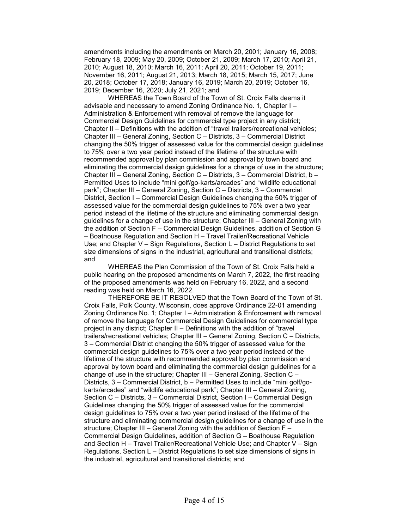amendments including the amendments on March 20, 2001; January 16, 2008; February 18, 2009; May 20, 2009; October 21, 2009; March 17, 2010; April 21, 2010; August 18, 2010; March 16, 2011; April 20, 2011; October 19, 2011; November 16, 2011; August 21, 2013; March 18, 2015; March 15, 2017; June 20, 2018; October 17, 2018; January 16, 2019; March 20, 2019; October 16, 2019; December 16, 2020; July 21, 2021; and

WHEREAS the Town Board of the Town of St. Croix Falls deems it advisable and necessary to amend Zoning Ordinance No. 1, Chapter I – Administration & Enforcement with removal of remove the language for Commercial Design Guidelines for commercial type project in any district; Chapter II – Definitions with the addition of "travel trailers/recreational vehicles; Chapter III – General Zoning, Section C – Districts, 3 – Commercial District changing the 50% trigger of assessed value for the commercial design guidelines to 75% over a two year period instead of the lifetime of the structure with recommended approval by plan commission and approval by town board and eliminating the commercial design guidelines for a change of use in the structure; Chapter III – General Zoning, Section C – Districts, 3 – Commercial District, b – Permitted Uses to include "mini golf/go-karts/arcades" and "wildlife educational park"; Chapter III – General Zoning, Section C – Districts, 3 – Commercial District, Section I – Commercial Design Guidelines changing the 50% trigger of assessed value for the commercial design guidelines to 75% over a two year period instead of the lifetime of the structure and eliminating commercial design guidelines for a change of use in the structure; Chapter III – General Zoning with the addition of Section F – Commercial Design Guidelines, addition of Section G – Boathouse Regulation and Section H – Travel Trailer/Recreational Vehicle Use; and Chapter V – Sign Regulations, Section L – District Regulations to set size dimensions of signs in the industrial, agricultural and transitional districts; and

WHEREAS the Plan Commission of the Town of St. Croix Falls held a public hearing on the proposed amendments on March 7, 2022, the first reading of the proposed amendments was held on February 16, 2022, and a second reading was held on March 16, 2022.

THEREFORE BE IT RESOLVED that the Town Board of the Town of St. Croix Falls, Polk County, Wisconsin, does approve Ordinance 22-01 amending Zoning Ordinance No. 1; Chapter I – Administration & Enforcement with removal of remove the language for Commercial Design Guidelines for commercial type project in any district; Chapter II – Definitions with the addition of "travel trailers/recreational vehicles; Chapter III – General Zoning, Section C – Districts, 3 – Commercial District changing the 50% trigger of assessed value for the commercial design guidelines to 75% over a two year period instead of the lifetime of the structure with recommended approval by plan commission and approval by town board and eliminating the commercial design guidelines for a change of use in the structure; Chapter III – General Zoning, Section C – Districts, 3 – Commercial District, b – Permitted Uses to include "mini golf/gokarts/arcades" and "wildlife educational park"; Chapter III – General Zoning, Section C – Districts, 3 – Commercial District, Section I – Commercial Design Guidelines changing the 50% trigger of assessed value for the commercial design guidelines to 75% over a two year period instead of the lifetime of the structure and eliminating commercial design guidelines for a change of use in the structure; Chapter III – General Zoning with the addition of Section F – Commercial Design Guidelines, addition of Section G – Boathouse Regulation and Section H – Travel Trailer/Recreational Vehicle Use; and Chapter V – Sign Regulations, Section L – District Regulations to set size dimensions of signs in the industrial, agricultural and transitional districts; and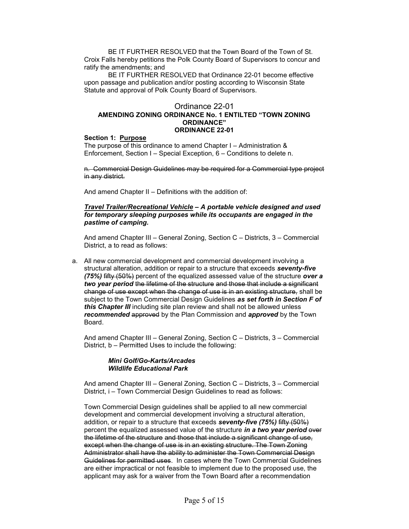BE IT FURTHER RESOLVED that the Town Board of the Town of St. Croix Falls hereby petitions the Polk County Board of Supervisors to concur and ratify the amendments; and

BE IT FURTHER RESOLVED that Ordinance 22-01 become effective upon passage and publication and/or posting according to Wisconsin State Statute and approval of Polk County Board of Supervisors.

#### Ordinance 22-01 AMENDING ZONING ORDINANCE No. 1 ENTILTED "TOWN ZONING ORDINANCE" ORDINANCE 22-01

#### Section 1: Purpose

The purpose of this ordinance to amend Chapter I – Administration & Enforcement, Section I – Special Exception, 6 – Conditions to delete n.

n. Commercial Design Guidelines may be required for a Commercial type project in any district.

And amend Chapter II – Definitions with the addition of:

#### Travel Trailer/Recreational Vehicle – A portable vehicle designed and used for temporary sleeping purposes while its occupants are engaged in the pastime of camping.

And amend Chapter III – General Zoning, Section C – Districts, 3 – Commercial District, a to read as follows:

a. All new commercial development and commercial development involving a structural alteration, addition or repair to a structure that exceeds seventy-five  $(75%)$  fifty  $(50%)$  percent of the equalized assessed value of the structure over a two year period the lifetime of the structure and those that include a significant change of use except when the change of use is in an existing structure, shall be subject to the Town Commercial Design Guidelines as set forth in Section F of this Chapter III including site plan review and shall not be allowed unless recommended approved by the Plan Commission and approved by the Town Board.

And amend Chapter III – General Zoning, Section C – Districts, 3 – Commercial District, b – Permitted Uses to include the following:

#### Mini Golf/Go-Karts/Arcades Wildlife Educational Park

And amend Chapter III – General Zoning, Section C – Districts, 3 – Commercial District, i – Town Commercial Design Guidelines to read as follows:

Town Commercial Design guidelines shall be applied to all new commercial development and commercial development involving a structural alteration, addition, or repair to a structure that exceeds seventy-five (75%) fifty (50%) percent the equalized assessed value of the structure in a two year period  $\theta$ the lifetime of the structure and those that include a significant change of use, except when the change of use is in an existing structure. The Town Zoning Administrator shall have the ability to administer the Town Commercial Design Guidelines for permitted uses. In cases where the Town Commercial Guidelines are either impractical or not feasible to implement due to the proposed use, the applicant may ask for a waiver from the Town Board after a recommendation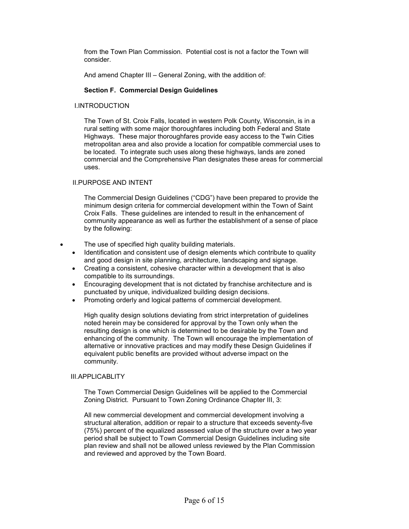from the Town Plan Commission. Potential cost is not a factor the Town will consider.

And amend Chapter III – General Zoning, with the addition of:

#### Section F. Commercial Design Guidelines

#### I.INTRODUCTION

The Town of St. Croix Falls, located in western Polk County, Wisconsin, is in a rural setting with some major thoroughfares including both Federal and State Highways. These major thoroughfares provide easy access to the Twin Cities metropolitan area and also provide a location for compatible commercial uses to be located. To integrate such uses along these highways, lands are zoned commercial and the Comprehensive Plan designates these areas for commercial uses.

## II.PURPOSE AND INTENT

The Commercial Design Guidelines ("CDG") have been prepared to provide the minimum design criteria for commercial development within the Town of Saint Croix Falls. These guidelines are intended to result in the enhancement of community appearance as well as further the establishment of a sense of place by the following:

- The use of specified high quality building materials.
	- Identification and consistent use of design elements which contribute to quality and good design in site planning, architecture, landscaping and signage.
	- Creating a consistent, cohesive character within a development that is also compatible to its surroundings.
	- Encouraging development that is not dictated by franchise architecture and is punctuated by unique, individualized building design decisions.
	- Promoting orderly and logical patterns of commercial development.

High quality design solutions deviating from strict interpretation of guidelines noted herein may be considered for approval by the Town only when the resulting design is one which is determined to be desirable by the Town and enhancing of the community. The Town will encourage the implementation of alternative or innovative practices and may modify these Design Guidelines if equivalent public benefits are provided without adverse impact on the community.

#### III.APPLICABLITY

The Town Commercial Design Guidelines will be applied to the Commercial Zoning District. Pursuant to Town Zoning Ordinance Chapter III, 3:

All new commercial development and commercial development involving a structural alteration, addition or repair to a structure that exceeds seventy-five (75%) percent of the equalized assessed value of the structure over a two year period shall be subject to Town Commercial Design Guidelines including site plan review and shall not be allowed unless reviewed by the Plan Commission and reviewed and approved by the Town Board.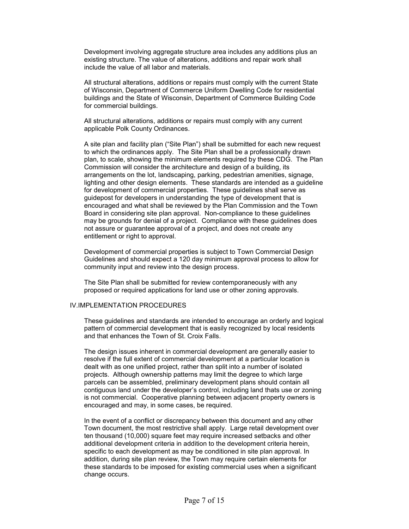Development involving aggregate structure area includes any additions plus an existing structure. The value of alterations, additions and repair work shall include the value of all labor and materials.

All structural alterations, additions or repairs must comply with the current State of Wisconsin, Department of Commerce Uniform Dwelling Code for residential buildings and the State of Wisconsin, Department of Commerce Building Code for commercial buildings.

All structural alterations, additions or repairs must comply with any current applicable Polk County Ordinances.

A site plan and facility plan ("Site Plan") shall be submitted for each new request to which the ordinances apply. The Site Plan shall be a professionally drawn plan, to scale, showing the minimum elements required by these CDG. The Plan Commission will consider the architecture and design of a building, its arrangements on the lot, landscaping, parking, pedestrian amenities, signage, lighting and other design elements. These standards are intended as a guideline for development of commercial properties. These guidelines shall serve as guidepost for developers in understanding the type of development that is encouraged and what shall be reviewed by the Plan Commission and the Town Board in considering site plan approval. Non-compliance to these guidelines may be grounds for denial of a project. Compliance with these guidelines does not assure or guarantee approval of a project, and does not create any entitlement or right to approval.

Development of commercial properties is subject to Town Commercial Design Guidelines and should expect a 120 day minimum approval process to allow for community input and review into the design process.

The Site Plan shall be submitted for review contemporaneously with any proposed or required applications for land use or other zoning approvals.

#### IV.IMPLEMENTATION PROCEDURES

These guidelines and standards are intended to encourage an orderly and logical pattern of commercial development that is easily recognized by local residents and that enhances the Town of St. Croix Falls.

The design issues inherent in commercial development are generally easier to resolve if the full extent of commercial development at a particular location is dealt with as one unified project, rather than split into a number of isolated projects. Although ownership patterns may limit the degree to which large parcels can be assembled, preliminary development plans should contain all contiguous land under the developer's control, including land thats use or zoning is not commercial. Cooperative planning between adjacent property owners is encouraged and may, in some cases, be required.

In the event of a conflict or discrepancy between this document and any other Town document, the most restrictive shall apply. Large retail development over ten thousand (10,000) square feet may require increased setbacks and other additional development criteria in addition to the development criteria herein, specific to each development as may be conditioned in site plan approval. In addition, during site plan review, the Town may require certain elements for these standards to be imposed for existing commercial uses when a significant change occurs.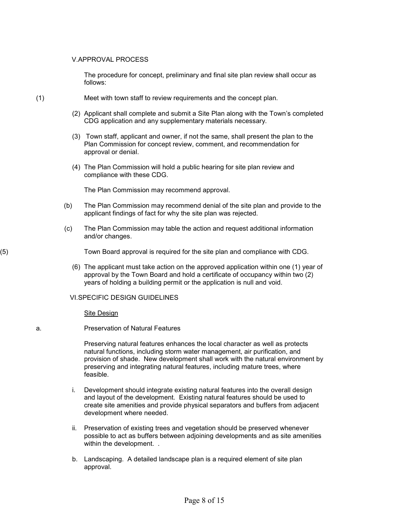#### V.APPROVAL PROCESS

The procedure for concept, preliminary and final site plan review shall occur as follows:

- (1) Meet with town staff to review requirements and the concept plan.
	- (2) Applicant shall complete and submit a Site Plan along with the Town's completed CDG application and any supplementary materials necessary.
	- (3) Town staff, applicant and owner, if not the same, shall present the plan to the Plan Commission for concept review, comment, and recommendation for approval or denial.
	- (4) The Plan Commission will hold a public hearing for site plan review and compliance with these CDG.

The Plan Commission may recommend approval.

- (b) The Plan Commission may recommend denial of the site plan and provide to the applicant findings of fact for why the site plan was rejected.
- (c) The Plan Commission may table the action and request additional information and/or changes.

(5) Town Board approval is required for the site plan and compliance with CDG.

(6) The applicant must take action on the approved application within one (1) year of approval by the Town Board and hold a certificate of occupancy within two (2) years of holding a building permit or the application is null and void.

#### VI.SPECIFIC DESIGN GUIDELINES

Site Design

#### a. Preservation of Natural Features

Preserving natural features enhances the local character as well as protects natural functions, including storm water management, air purification, and provision of shade. New development shall work with the natural environment by preserving and integrating natural features, including mature trees, where feasible.

- i. Development should integrate existing natural features into the overall design and layout of the development. Existing natural features should be used to create site amenities and provide physical separators and buffers from adjacent development where needed.
- ii. Preservation of existing trees and vegetation should be preserved whenever possible to act as buffers between adjoining developments and as site amenities within the development. .
- b. Landscaping. A detailed landscape plan is a required element of site plan approval.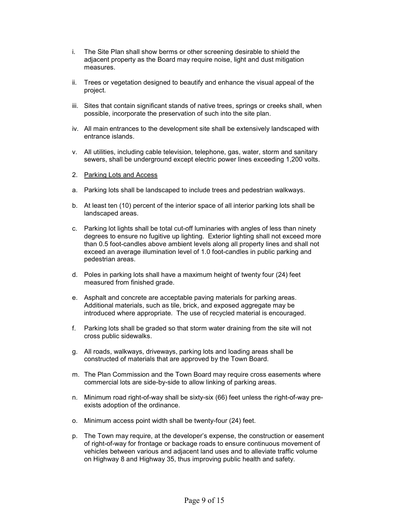- i. The Site Plan shall show berms or other screening desirable to shield the adjacent property as the Board may require noise, light and dust mitigation measures.
- ii. Trees or vegetation designed to beautify and enhance the visual appeal of the project.
- iii. Sites that contain significant stands of native trees, springs or creeks shall, when possible, incorporate the preservation of such into the site plan.
- iv. All main entrances to the development site shall be extensively landscaped with entrance islands.
- v. All utilities, including cable television, telephone, gas, water, storm and sanitary sewers, shall be underground except electric power lines exceeding 1,200 volts.
- 2. Parking Lots and Access
- a. Parking lots shall be landscaped to include trees and pedestrian walkways.
- b. At least ten (10) percent of the interior space of all interior parking lots shall be landscaped areas.
- c. Parking lot lights shall be total cut-off luminaries with angles of less than ninety degrees to ensure no fugitive up lighting. Exterior lighting shall not exceed more than 0.5 foot-candles above ambient levels along all property lines and shall not exceed an average illumination level of 1.0 foot-candles in public parking and pedestrian areas.
- d. Poles in parking lots shall have a maximum height of twenty four (24) feet measured from finished grade.
- e. Asphalt and concrete are acceptable paving materials for parking areas. Additional materials, such as tile, brick, and exposed aggregate may be introduced where appropriate. The use of recycled material is encouraged.
- f. Parking lots shall be graded so that storm water draining from the site will not cross public sidewalks.
- g. All roads, walkways, driveways, parking lots and loading areas shall be constructed of materials that are approved by the Town Board.
- m. The Plan Commission and the Town Board may require cross easements where commercial lots are side-by-side to allow linking of parking areas.
- n. Minimum road right-of-way shall be sixty-six (66) feet unless the right-of-way preexists adoption of the ordinance.
- o. Minimum access point width shall be twenty-four (24) feet.
- p. The Town may require, at the developer's expense, the construction or easement of right-of-way for frontage or backage roads to ensure continuous movement of vehicles between various and adjacent land uses and to alleviate traffic volume on Highway 8 and Highway 35, thus improving public health and safety.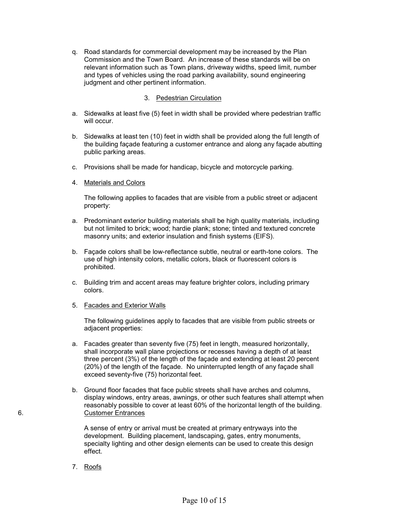q. Road standards for commercial development may be increased by the Plan Commission and the Town Board. An increase of these standards will be on relevant information such as Town plans, driveway widths, speed limit, number and types of vehicles using the road parking availability, sound engineering judgment and other pertinent information.

## 3. Pedestrian Circulation

- a. Sidewalks at least five (5) feet in width shall be provided where pedestrian traffic will occur.
- b. Sidewalks at least ten (10) feet in width shall be provided along the full length of the building façade featuring a customer entrance and along any façade abutting public parking areas.
- c. Provisions shall be made for handicap, bicycle and motorcycle parking.
- 4. Materials and Colors

The following applies to facades that are visible from a public street or adjacent property:

- a. Predominant exterior building materials shall be high quality materials, including but not limited to brick; wood; hardie plank; stone; tinted and textured concrete masonry units; and exterior insulation and finish systems (EIFS).
- b. Façade colors shall be low-reflectance subtle, neutral or earth-tone colors. The use of high intensity colors, metallic colors, black or fluorescent colors is prohibited.
- c. Building trim and accent areas may feature brighter colors, including primary colors.
- 5. Facades and Exterior Walls

The following guidelines apply to facades that are visible from public streets or adjacent properties:

- a. Facades greater than seventy five (75) feet in length, measured horizontally, shall incorporate wall plane projections or recesses having a depth of at least three percent (3%) of the length of the façade and extending at least 20 percent (20%) of the length of the façade. No uninterrupted length of any façade shall exceed seventy-five (75) horizontal feet.
- b. Ground floor facades that face public streets shall have arches and columns, display windows, entry areas, awnings, or other such features shall attempt when reasonably possible to cover at least 60% of the horizontal length of the building. 6. Customer Entrances

A sense of entry or arrival must be created at primary entryways into the development. Building placement, landscaping, gates, entry monuments, specialty lighting and other design elements can be used to create this design effect.

7. Roofs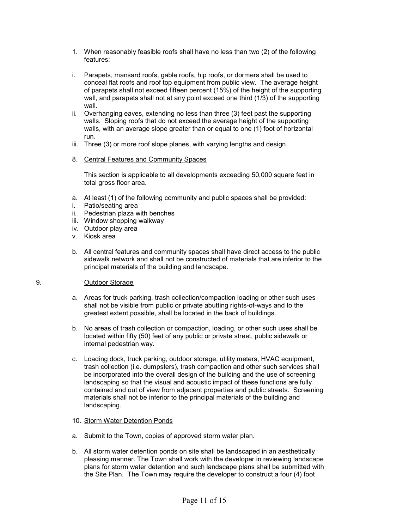- 1. When reasonably feasible roofs shall have no less than two (2) of the following features:
- i. Parapets, mansard roofs, gable roofs, hip roofs, or dormers shall be used to conceal flat roofs and roof top equipment from public view. The average height of parapets shall not exceed fifteen percent (15%) of the height of the supporting wall, and parapets shall not at any point exceed one third (1/3) of the supporting wall.
- ii. Overhanging eaves, extending no less than three (3) feet past the supporting walls. Sloping roofs that do not exceed the average height of the supporting walls, with an average slope greater than or equal to one (1) foot of horizontal run.
- iii. Three (3) or more roof slope planes, with varying lengths and design.
- 8. Central Features and Community Spaces

This section is applicable to all developments exceeding 50,000 square feet in total gross floor area.

- a. At least (1) of the following community and public spaces shall be provided:
- i. Patio/seating area
- ii. Pedestrian plaza with benches
- iii. Window shopping walkway
- iv. Outdoor play area
- v. Kiosk area
- b. All central features and community spaces shall have direct access to the public sidewalk network and shall not be constructed of materials that are inferior to the principal materials of the building and landscape.
- 9. Outdoor Storage
	- a. Areas for truck parking, trash collection/compaction loading or other such uses shall not be visible from public or private abutting rights-of-ways and to the greatest extent possible, shall be located in the back of buildings.
	- b. No areas of trash collection or compaction, loading, or other such uses shall be located within fifty (50) feet of any public or private street, public sidewalk or internal pedestrian way.
	- c. Loading dock, truck parking, outdoor storage, utility meters, HVAC equipment, trash collection (i.e. dumpsters), trash compaction and other such services shall be incorporated into the overall design of the building and the use of screening landscaping so that the visual and acoustic impact of these functions are fully contained and out of view from adjacent properties and public streets. Screening materials shall not be inferior to the principal materials of the building and landscaping.
	- 10. Storm Water Detention Ponds
	- a. Submit to the Town, copies of approved storm water plan.
	- b. All storm water detention ponds on site shall be landscaped in an aesthetically pleasing manner. The Town shall work with the developer in reviewing landscape plans for storm water detention and such landscape plans shall be submitted with the Site Plan. The Town may require the developer to construct a four (4) foot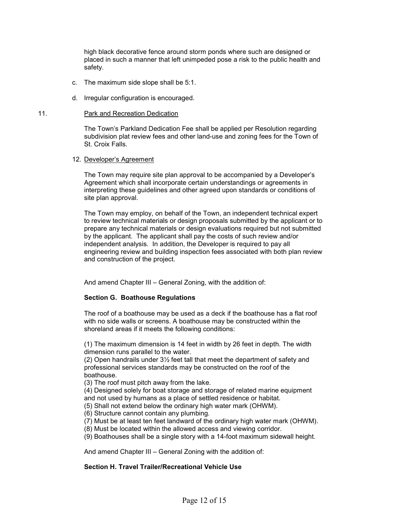high black decorative fence around storm ponds where such are designed or placed in such a manner that left unimpeded pose a risk to the public health and safety.

- c. The maximum side slope shall be 5:1.
- d. Irregular configuration is encouraged.

#### 11. Park and Recreation Dedication

The Town's Parkland Dedication Fee shall be applied per Resolution regarding subdivision plat review fees and other land-use and zoning fees for the Town of St. Croix Falls.

#### 12. Developer's Agreement

The Town may require site plan approval to be accompanied by a Developer's Agreement which shall incorporate certain understandings or agreements in interpreting these guidelines and other agreed upon standards or conditions of site plan approval.

The Town may employ, on behalf of the Town, an independent technical expert to review technical materials or design proposals submitted by the applicant or to prepare any technical materials or design evaluations required but not submitted by the applicant. The applicant shall pay the costs of such review and/or independent analysis. In addition, the Developer is required to pay all engineering review and building inspection fees associated with both plan review and construction of the project.

And amend Chapter III – General Zoning, with the addition of:

#### Section G. Boathouse Regulations

The roof of a boathouse may be used as a deck if the boathouse has a flat roof with no side walls or screens. A boathouse may be constructed within the shoreland areas if it meets the following conditions:

(1) The maximum dimension is 14 feet in width by 26 feet in depth. The width dimension runs parallel to the water.

(2) Open handrails under 3½ feet tall that meet the department of safety and professional services standards may be constructed on the roof of the boathouse.

(3) The roof must pitch away from the lake.

(4) Designed solely for boat storage and storage of related marine equipment and not used by humans as a place of settled residence or habitat.

(5) Shall not extend below the ordinary high water mark (OHWM).

(6) Structure cannot contain any plumbing.

(7) Must be at least ten feet landward of the ordinary high water mark (OHWM).

(8) Must be located within the allowed access and viewing corridor.

(9) Boathouses shall be a single story with a 14-foot maximum sidewall height.

And amend Chapter III – General Zoning with the addition of:

#### Section H. Travel Trailer/Recreational Vehicle Use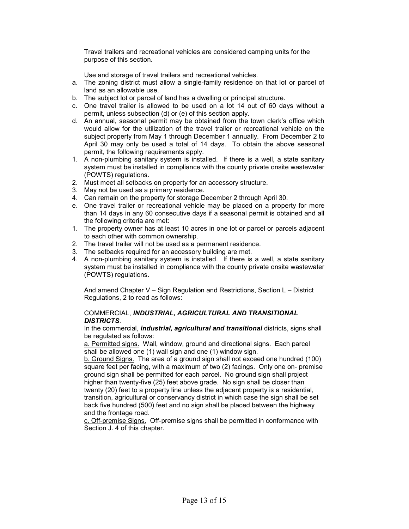Travel trailers and recreational vehicles are considered camping units for the purpose of this section.

Use and storage of travel trailers and recreational vehicles.

- a. The zoning district must allow a single-family residence on that lot or parcel of land as an allowable use.
- b. The subject lot or parcel of land has a dwelling or principal structure.
- c. One travel trailer is allowed to be used on a lot 14 out of 60 days without a permit, unless subsection (d) or (e) of this section apply.
- d. An annual, seasonal permit may be obtained from the town clerk's office which would allow for the utilization of the travel trailer or recreational vehicle on the subject property from May 1 through December 1 annually. From December 2 to April 30 may only be used a total of 14 days. To obtain the above seasonal permit, the following requirements apply.
- 1. A non-plumbing sanitary system is installed. If there is a well, a state sanitary system must be installed in compliance with the county private onsite wastewater (POWTS) regulations.
- 2. Must meet all setbacks on property for an accessory structure.
- 3. May not be used as a primary residence.
- 4. Can remain on the property for storage December 2 through April 30.
- e. One travel trailer or recreational vehicle may be placed on a property for more than 14 days in any 60 consecutive days if a seasonal permit is obtained and all the following criteria are met:
- 1. The property owner has at least 10 acres in one lot or parcel or parcels adjacent to each other with common ownership.
- 2. The travel trailer will not be used as a permanent residence.
- 3. The setbacks required for an accessory building are met.
- 4. A non-plumbing sanitary system is installed. If there is a well, a state sanitary system must be installed in compliance with the county private onsite wastewater (POWTS) regulations.

And amend Chapter V – Sign Regulation and Restrictions, Section L – District Regulations, 2 to read as follows:

## COMMERCIAL, INDUSTRIAL, AGRICULTURAL AND TRANSITIONAL DISTRICTS.

In the commercial, *industrial, agricultural and transitional* districts, signs shall be regulated as follows:

a. Permitted signs. Wall, window, ground and directional signs. Each parcel shall be allowed one (1) wall sign and one (1) window sign.

b. Ground Signs. The area of a ground sign shall not exceed one hundred (100) square feet per facing, with a maximum of two (2) facings. Only one on- premise ground sign shall be permitted for each parcel. No ground sign shall project higher than twenty-five (25) feet above grade. No sign shall be closer than twenty (20) feet to a property line unless the adjacent property is a residential, transition, agricultural or conservancy district in which case the sign shall be set back five hundred (500) feet and no sign shall be placed between the highway and the frontage road.

c. Off-premise Signs. Off-premise signs shall be permitted in conformance with Section J. 4 of this chapter.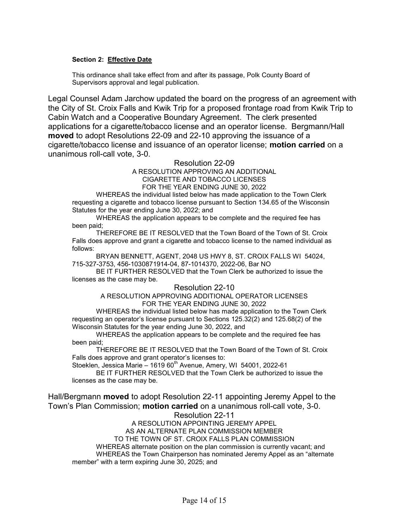## Section 2: Effective Date

This ordinance shall take effect from and after its passage, Polk County Board of Supervisors approval and legal publication.

Legal Counsel Adam Jarchow updated the board on the progress of an agreement with the City of St. Croix Falls and Kwik Trip for a proposed frontage road from Kwik Trip to Cabin Watch and a Cooperative Boundary Agreement. The clerk presented applications for a cigarette/tobacco license and an operator license. Bergmann/Hall moved to adopt Resolutions 22-09 and 22-10 approving the issuance of a cigarette/tobacco license and issuance of an operator license; motion carried on a unanimous roll-call vote, 3-0.

# Resolution 22-09

A RESOLUTION APPROVING AN ADDITIONAL CIGARETTE AND TOBACCO LICENSES

FOR THE YEAR ENDING JUNE 30, 2022

WHEREAS the individual listed below has made application to the Town Clerk requesting a cigarette and tobacco license pursuant to Section 134.65 of the Wisconsin Statutes for the year ending June 30, 2022; and

WHEREAS the application appears to be complete and the required fee has been paid;

THEREFORE BE IT RESOLVED that the Town Board of the Town of St. Croix Falls does approve and grant a cigarette and tobacco license to the named individual as follows:

BRYAN BENNETT, AGENT, 2048 US HWY 8, ST. CROIX FALLS WI 54024, 715-327-3753, 456-1030871914-04, 87-1014370, 2022-06, Bar NO

 BE IT FURTHER RESOLVED that the Town Clerk be authorized to issue the licenses as the case may be.

## Resolution 22-10

## A RESOLUTION APPROVING ADDITIONAL OPERATOR LICENSES FOR THE YEAR ENDING JUNE 30, 2022

WHEREAS the individual listed below has made application to the Town Clerk requesting an operator's license pursuant to Sections 125.32(2) and 125.68(2) of the Wisconsin Statutes for the year ending June 30, 2022, and

WHEREAS the application appears to be complete and the required fee has been paid;

THEREFORE BE IT RESOLVED that the Town Board of the Town of St. Croix Falls does approve and grant operator's licenses to:

Stoeklen, Jessica Marie – 1619  $60^{\text{th}}$  Avenue, Amery, WI 54001, 2022-61

 BE IT FURTHER RESOLVED that the Town Clerk be authorized to issue the licenses as the case may be.

Hall/Bergmann moved to adopt Resolution 22-11 appointing Jeremy Appel to the Town's Plan Commission; motion carried on a unanimous roll-call vote, 3-0. Resolution 22-11

A RESOLUTION APPOINTING JEREMY APPEL AS AN ALTERNATE PLAN COMMISSION MEMBER TO THE TOWN OF ST. CROIX FALLS PLAN COMMISSION WHEREAS alternate position on the plan commission is currently vacant; and WHEREAS the Town Chairperson has nominated Jeremy Appel as an "alternate member" with a term expiring June 30, 2025; and